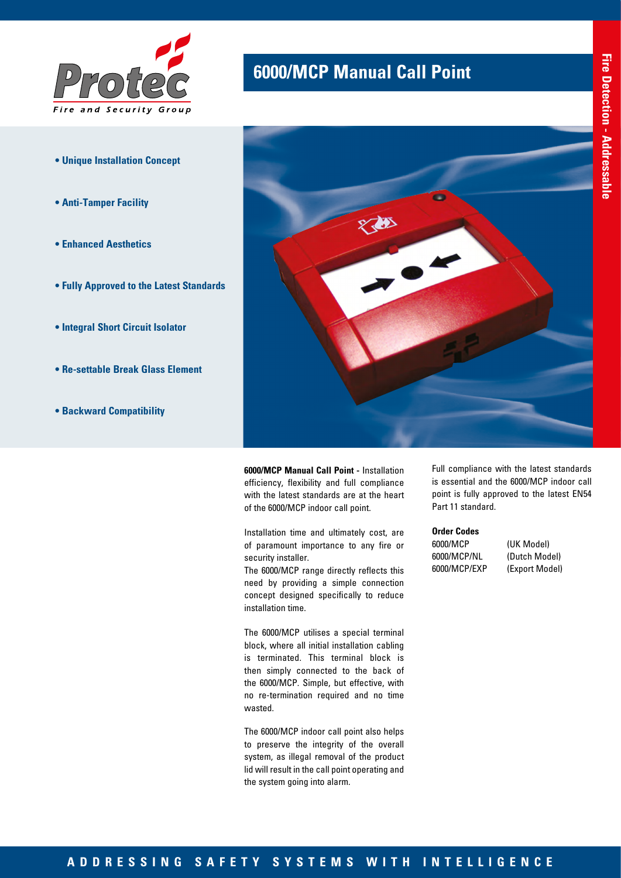

- **Unique Installation Concept**
- **Anti-Tamper Facility**
- **Enhanced Aesthetics**
- **Fully Approved to the Latest Standards**
- **Integral Short Circuit Isolator**
- **Re-settable Break Glass Element**
- **Backward Compatibility**

## **6000/MCP Manual Call Point**



**6000/MCP Manual Call Point -** Installation efficiency, flexibility and full compliance with the latest standards are at the heart of the 6000/MCP indoor call point.

Installation time and ultimately cost, are of paramount importance to any fire or security installer.

The 6000/MCP range directly reflects this need by providing a simple connection concept designed specifically to reduce installation time.

The 6000/MCP utilises a special terminal block, where all initial installation cabling is terminated. This terminal block is then simply connected to the back of the 6000/MCP. Simple, but effective, with no re-termination required and no time wasted.

The 6000/MCP indoor call point also helps to preserve the integrity of the overall system, as illegal removal of the product lid will result in the call point operating and the system going into alarm.

Full compliance with the latest standards is essential and the 6000/MCP indoor call point is fully approved to the latest EN54 Part 11 standard.

## **Order Codes**

6000/MCP (UK Model) 6000/MCP/NL (Dutch Model) 6000/MCP/EXP (Export Model)